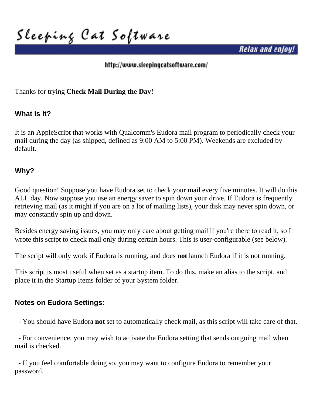**Sleeping Cat Software**

*Relax and enjoy!*

### <http://www.sleepingcatsoftware.com/>

Thanks for trying **Check Mail During the Day!**

## **What Is It?**

It is an AppleScript that works with Qualcomm's Eudora mail program to periodically check your mail during the day (as shipped, defined as 9:00 AM to 5:00 PM). Weekends are excluded by default.

## **Why?**

Good question! Suppose you have Eudora set to check your mail every five minutes. It will do this ALL day. Now suppose you use an energy saver to spin down your drive. If Eudora is frequently retrieving mail (as it might if you are on a lot of mailing lists), your disk may never spin down, or may constantly spin up and down.

Besides energy saving issues, you may only care about getting mail if you're there to read it, so I wrote this script to check mail only during certain hours. This is user-configurable (see below).

The script will only work if Eudora is running, and does **not** launch Eudora if it is not running.

This script is most useful when set as a startup item. To do this, make an alias to the script, and place it in the Startup Items folder of your System folder.

### **Notes on Eudora Settings:**

 **-** You should have Eudora **not** set to automatically check mail, as this script will take care of that.

 - For convenience, you may wish to activate the Eudora setting that sends outgoing mail when mail is checked.

 - If you feel comfortable doing so, you may want to configure Eudora to remember your password.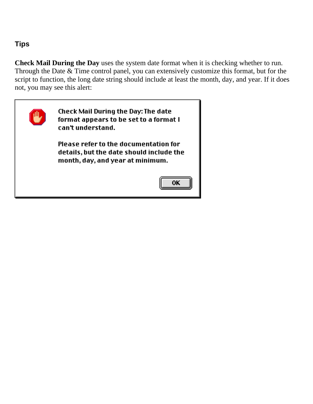## **Tips**

**Check Mail During the Day** uses the system date format when it is checking whether to run. Through the Date & Time control panel, you can extensively customize this format, but for the script to function, the long date string should include at least the month, day, and year. If it does not, you may see this alert:

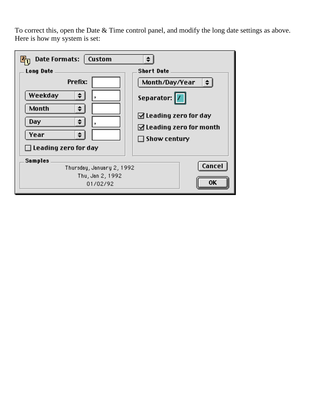To correct this, open the Date & Time control panel, and modify the long date settings as above. Here is how my system is set:

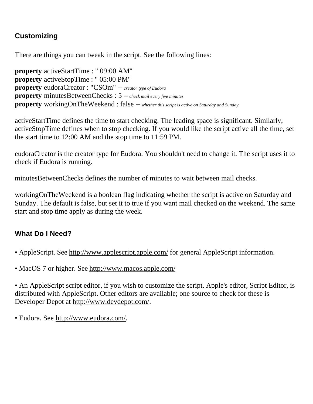# **Customizing**

There are things you can tweak in the script. See the following lines:

**property** activeStartTime : " 09:00 AM" **property** activeStopTime : " 05:00 PM" **property** eudoraCreator : "CSOm" -- *creator type of Eudora* **property** minutesBetweenChecks : 5 -- *check mail every five minutes* **property** workingOnTheWeekend : false -- *whether this script is active on Saturday and Sunday*

activeStartTime defines the time to start checking. The leading space is significant. Similarly, activeStopTime defines when to stop checking. If you would like the script active all the time, set the start time to 12:00 AM and the stop time to 11:59 PM.

eudoraCreator is the creator type for Eudora. You shouldn't need to change it. The script uses it to check if Eudora is running.

minutesBetweenChecks defines the number of minutes to wait between mail checks.

workingOnTheWeekend is a boolean flag indicating whether the script is active on Saturday and Sunday. The default is false, but set it to true if you want mail checked on the weekend. The same start and stop time apply as during the week.

# **What Do I Need?**

- AppleScript. See<http://www.applescript.apple.com/>for general AppleScript information.
- MacOS 7 or higher. See<http://www.macos.apple.com/>

• An AppleScript script editor, if you wish to customize the script. Apple's editor, Script Editor, is distributed with AppleScript. Other editors are available; one source to check for these is Developer Depot at http://www.devdepot.com/.

• Eudora. See <http://www.eudora.com/>.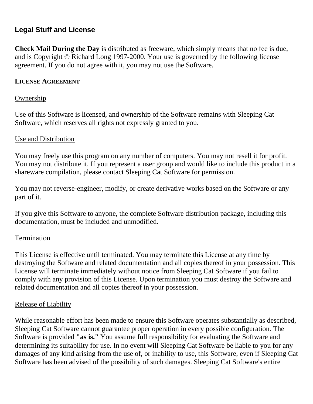## **Legal Stuff and License**

**Check Mail During the Day** is distributed as freeware, which simply means that no fee is due, and is Copyright © Richard Long 1997-2000. Your use is governed by the following license agreement. If you do not agree with it, you may not use the Software.

### **LICENSE AGREEMENT**

### **Ownership**

Use of this Software is licensed, and ownership of the Software remains with Sleeping Cat Software, which reserves all rights not expressly granted to you.

### Use and Distribution

You may freely use this program on any number of computers. You may not resell it for profit. You may not distribute it. If you represent a user group and would like to include this product in a shareware compilation, please contact Sleeping Cat Software for permission.

You may not reverse-engineer, modify, or create derivative works based on the Software or any part of it.

If you give this Software to anyone, the complete Software distribution package, including this documentation, must be included and unmodified.

### **Termination**

This License is effective until terminated. You may terminate this License at any time by destroying the Software and related documentation and all copies thereof in your possession. This License will terminate immediately without notice from Sleeping Cat Software if you fail to comply with any provision of this License. Upon termination you must destroy the Software and related documentation and all copies thereof in your possession.

### Release of Liability

While reasonable effort has been made to ensure this Software operates substantially as described, Sleeping Cat Software cannot guarantee proper operation in every possible configuration. The Software is provided **"as is."** You assume full responsibility for evaluating the Software and determining its suitability for use. In no event will Sleeping Cat Software be liable to you for any damages of any kind arising from the use of, or inability to use, this Software, even if Sleeping Cat Software has been advised of the possibility of such damages. Sleeping Cat Software's entire